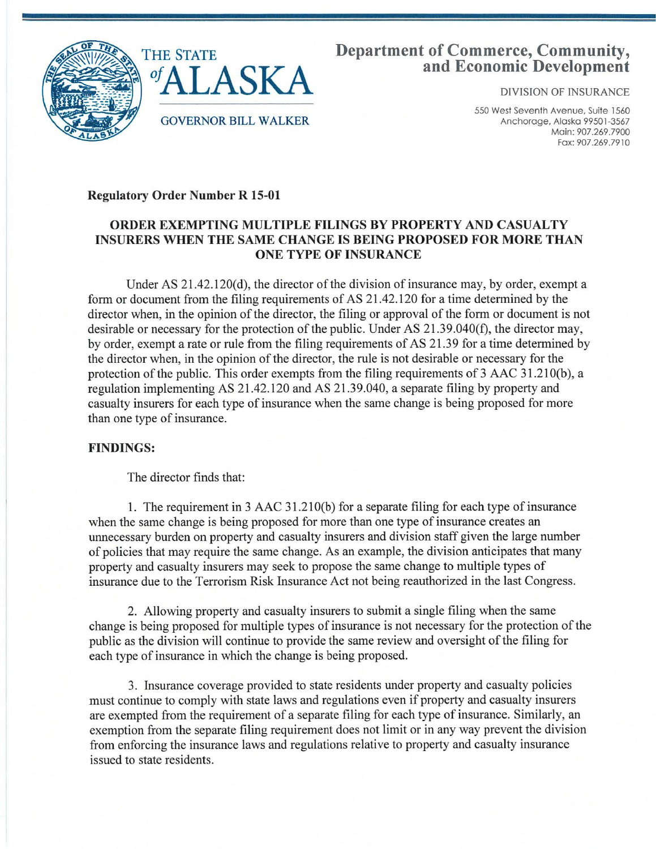

# **Department of Commerce, Community, and Economic Development**

DIVISION OF INSURANCE

550 West Seventh Avenue, Suite 1560 Anchorage, Alaska 99501-3567 Main: 907.269.7900 Fa x: 907 .269 .7910

## Regulatory Order Number R 15-01

## ORDER EXEMPTING MULTIPLE FILINGS BY PROPERTY AND CASUALTY INSURERS WHEN THE SAME CHANGE IS BEING PROPOSED FOR MORE THAN ONE TYPE OF INSURANCE

Under AS 21.42.120(d), the director of the division of insurance may, by order, exempt a form or document from the filing requirements of AS 21.42.120 for a time determined by the director when, in the opinion of the director, the filing or approval of the form or document is not desirable or necessary for the protection of the public. Under AS 21.39.040(f), the director may, by order, exempt a rate or rule from the filing requirements of AS 21.39 for a time determined by the director when, in the opinion of the director, the rule is not desirable or necessary for the protection of the public. This order exempts from the filing requirements of 3 AAC 31.210(b), a regulation implementing AS 21.42.120 and AS 21.39.040, a separate filing by property and casualty insurers for each type of insurance when the same change is being proposed for more than one type of insurance.

### FINDINGS:

The director finds that:

1. The requirement in 3 AAC 31.210(b) for a separate filing for each type of insurance when the same change is being proposed for more than one type of insurance creates an unnecessary burden on property and casualty insurers and division staff given the large number of policies that may require the same change. As an example, the division anticipates that many property and casualty insurers may seek to propose the same change to multiple types of insurance due to the Terrorism Risk Insurance Act not being reauthorized in the last Congress.

2. Allowing property and casualty insurers to submit a single filing when the same change is being proposed for multiple types of insurance is not necessary for the protection of the public as the division will continue to provide the same review and oversight of the filing for each type of insurance in which the change is being proposed.

3. Insurance coverage provided to state residents under property and casualty policies must continue to comply with state laws and regulations even if property and casualty insurers are exempted from the requirement of a separate filing for each type of insurance. Similarly, an exemption from the separate filing requirement does not limit or in any way prevent the division from enforcing the insurance laws and regulations relative to property and casualty insurance issued to state residents.